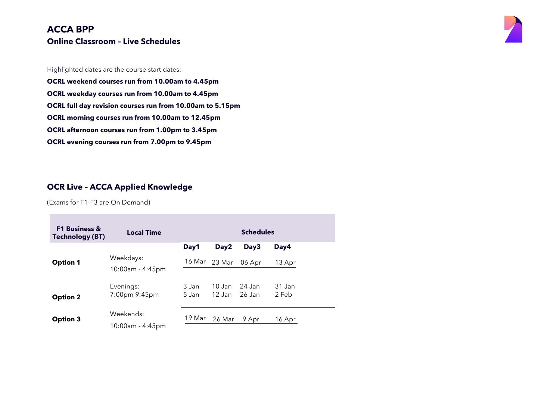

#### Highlighted dates are the course start dates:

**OCRL weekend courses run from 10.00am to 4.45pm OCRL weekday courses run from 10.00am to 4.45pm OCRL full day revision courses run from 10.00am to 5.15pm OCRL morning courses run from 10.00am to 12.45pm OCRL afternoon courses run from 1.00pm to 3.45pm OCRL evening courses run from 7.00pm to 9.45pm**

#### **OCR Live – ACCA Applied Knowledge**

(Exams for F1-F3 are On Demand)

| <b>F1 Business &amp;</b><br><b>Technology (BT)</b> | <b>Local Time</b> |        |             | <b>Schedules</b> |             |
|----------------------------------------------------|-------------------|--------|-------------|------------------|-------------|
|                                                    |                   | Day1   | <u>Day2</u> | <u>Day3</u>      | <u>Day4</u> |
| <b>Option 1</b>                                    | Weekdays:         | 16 Mar | 23 Mar      | 06 Apr           | 13 Apr      |
|                                                    | 10:00am - 4:45pm  |        |             |                  |             |
|                                                    | Evenings:         | 3 Jan  | $10$ Jan    | 24 Jan           | 31 Jan      |
| <b>Option 2</b>                                    | 7:00pm 9:45pm     | 5 Jan  | 12 Jan      | 26 Jan           | 2 Feb       |
| <b>Option 3</b>                                    | Weekends:         | 19 Mar | 26 Mar      | 9 Apr            | 16 Apr      |
|                                                    | 10:00am - 4:45pm  |        |             |                  |             |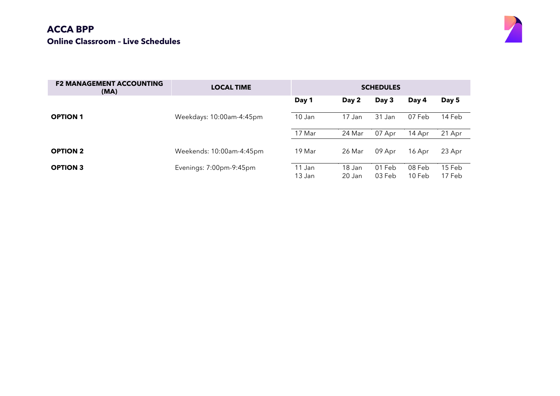

| <b>F2 MANAGEMENT ACCOUNTING</b><br>(MA) | <b>LOCAL TIME</b>        | <b>SCHEDULES</b> |                  |                  |                     |                  |
|-----------------------------------------|--------------------------|------------------|------------------|------------------|---------------------|------------------|
|                                         |                          | Day 1            | Day 2            | Day 3            | Day 4               | Day 5            |
| <b>OPTION 1</b>                         | Weekdays: 10:00am-4:45pm | 10 Jan           | 17 Jan           | 31 Jan           | 07 Feb              | 14 Feb           |
|                                         |                          | 17 Mar           | 24 Mar           | 07 Apr           | 14 Apr              | 21 Apr           |
| <b>OPTION 2</b>                         | Weekends: 10:00am-4:45pm | 19 Mar           | 26 Mar           | 09 Apr           | 16 Apr              | 23 Apr           |
| <b>OPTION 3</b>                         | Evenings: 7:00pm-9:45pm  | 11 Jan<br>13 Jan | 18 Jan<br>20 Jan | 01 Feb<br>03 Feb | 08 Feb<br>$10$ Feb. | 15 Feb<br>17 Feb |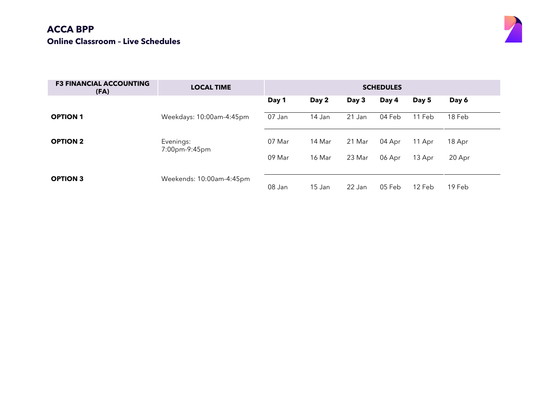

| <b>F3 FINANCIAL ACCOUNTING</b><br>(FA) | <b>LOCAL TIME</b>          |        | <b>SCHEDULES</b> |        |        |        |        |
|----------------------------------------|----------------------------|--------|------------------|--------|--------|--------|--------|
|                                        |                            | Day 1  | Day 2            | Day 3  | Day 4  | Day 5  | Day 6  |
| <b>OPTION 1</b>                        | Weekdays: 10:00am-4:45pm   | 07 Jan | 14 Jan           | 21 Jan | 04 Feb | 11 Feb | 18 Feb |
| <b>OPTION 2</b>                        | Evenings:<br>7:00pm-9:45pm | 07 Mar | 14 Mar           | 21 Mar | 04 Apr | 11 Apr | 18 Apr |
|                                        |                            | 09 Mar | 16 Mar           | 23 Mar | 06 Apr | 13 Apr | 20 Apr |
| <b>OPTION 3</b>                        | Weekends: 10:00am-4:45pm   | 08 Jan | 15 Jan           | 22 Jan | 05 Feb | 12 Feb | 19 Feb |
|                                        |                            |        |                  |        |        |        |        |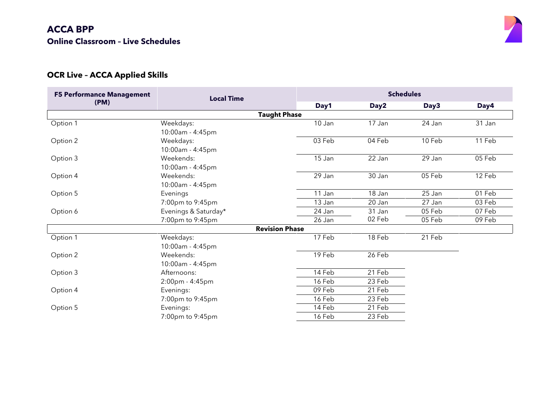

# **OCR Live – ACCA Applied Skills**

| <b>F5 Performance Management</b> | <b>Local Time</b>     |        | <b>Schedules</b> |        |        |  |  |
|----------------------------------|-----------------------|--------|------------------|--------|--------|--|--|
| (PM)                             |                       | Day1   | Day <sub>2</sub> | Day3   | Day4   |  |  |
|                                  | <b>Taught Phase</b>   |        |                  |        |        |  |  |
| Option 1                         | Weekdays:             | 10 Jan | 17 Jan           | 24 Jan | 31 Jan |  |  |
|                                  | 10:00am - 4:45pm      |        |                  |        |        |  |  |
| Option 2                         | Weekdays:             | 03 Feb | 04 Feb           | 10 Feb | 11 Feb |  |  |
|                                  | 10:00am - 4:45pm      |        |                  |        |        |  |  |
| Option 3                         | Weekends:             | 15 Jan | 22 Jan           | 29 Jan | 05 Feb |  |  |
|                                  | 10:00am - 4:45pm      |        |                  |        |        |  |  |
| Option 4                         | Weekends:             | 29 Jan | 30 Jan           | 05 Feb | 12 Feb |  |  |
|                                  | 10:00am - 4:45pm      |        |                  |        |        |  |  |
| Option 5                         | Evenings              | 11 Jan | 18 Jan           | 25 Jan | 01 Feb |  |  |
|                                  | 7:00pm to 9:45pm      | 13 Jan | 20 Jan           | 27 Jan | 03 Feb |  |  |
| Option 6                         | Evenings & Saturday*  | 24 Jan | 31 Jan           | 05 Feb | 07 Feb |  |  |
|                                  | 7:00pm to 9:45pm      | 26 Jan | 02 Feb           | 05 Feb | 09 Feb |  |  |
|                                  | <b>Revision Phase</b> |        |                  |        |        |  |  |
| Option 1                         | Weekdays:             | 17 Feb | 18 Feb           | 21 Feb |        |  |  |
|                                  | 10:00am - 4:45pm      |        |                  |        |        |  |  |
| Option 2                         | Weekends:             | 19 Feb | 26 Feb           |        |        |  |  |
|                                  | 10:00am - 4:45pm      |        |                  |        |        |  |  |
| Option 3                         | Afternoons:           | 14 Feb | 21 Feb           |        |        |  |  |
|                                  | 2:00pm - 4:45pm       | 16 Feb | 23 Feb           |        |        |  |  |
| Option 4                         | Evenings:             | 09 Feb | 21 Feb           |        |        |  |  |
|                                  | 7:00pm to 9:45pm      | 16 Feb | 23 Feb           |        |        |  |  |
| Option 5                         | Evenings:             | 14 Feb | 21 Feb           |        |        |  |  |
|                                  | 7:00pm to 9:45pm      | 16 Feb | 23 Feb           |        |        |  |  |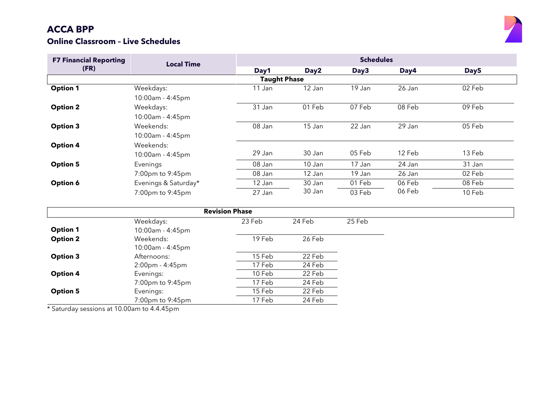### **Online Classroom – Live Schedules**



| <b>F7 Financial Reporting</b> | <b>Local Time</b>    |                     |                  |        | <b>Schedules</b> |                  |  |
|-------------------------------|----------------------|---------------------|------------------|--------|------------------|------------------|--|
| (FR)                          |                      | Day1                | Day <sub>2</sub> | Day3   | Day4             | Day <sub>5</sub> |  |
|                               |                      | <b>Taught Phase</b> |                  |        |                  |                  |  |
| <b>Option 1</b>               | Weekdays:            | 11 Jan              | 12 Jan           | 19 Jan | 26 Jan           | 02 Feb           |  |
|                               | 10:00am - 4:45pm     |                     |                  |        |                  |                  |  |
| <b>Option 2</b>               | Weekdays:            | 31 Jan              | 01 Feb           | 07 Feb | 08 Feb           | 09 Feb           |  |
|                               | 10:00am - 4:45pm     |                     |                  |        |                  |                  |  |
| <b>Option 3</b>               | Weekends:            | 08 Jan              | 15 Jan           | 22 Jan | 29 Jan           | 05 Feb           |  |
|                               | 10:00am - 4:45pm     |                     |                  |        |                  |                  |  |
| <b>Option 4</b>               | Weekends:            |                     |                  |        |                  |                  |  |
|                               | 10:00am - 4:45pm     | 29 Jan              | 30 Jan           | 05 Feb | 12 Feb           | 13 Feb           |  |
| <b>Option 5</b>               | Evenings             | 08 Jan              | 10 Jan           | 17 Jan | 24 Jan           | 31 Jan           |  |
|                               | 7:00pm to 9:45pm     | 08 Jan              | 12 Jan           | 19 Jan | 26 Jan           | 02 Feb           |  |
| Option 6                      | Evenings & Saturday* | 12 Jan              | 30 Jan           | 01 Feb | 06 Feb           | 08 Feb           |  |
|                               | 7:00pm to 9:45pm     | 27 Jan              | 30 Jan           | 03 Feb | 06 Feb           | 10 Feb           |  |

|                 |                  | <b>Revision Phase</b> |        |        |
|-----------------|------------------|-----------------------|--------|--------|
|                 | Weekdays:        | 23 Feb                | 24 Feb | 25 Feb |
| <b>Option 1</b> | 10:00am - 4:45pm |                       |        |        |
| <b>Option 2</b> | Weekends:        | 19 Feb                | 26 Feb |        |
|                 | 10:00am - 4:45pm |                       |        |        |
| <b>Option 3</b> | Afternoons:      | 15 Feb                | 22 Feb |        |
|                 | 2:00pm - 4:45pm  | 17 Feb                | 24 Feb |        |
| <b>Option 4</b> | Evenings:        | 10 Feb                | 22 Feb |        |
|                 | 7:00pm to 9:45pm | 17 Feb                | 24 Feb |        |
| <b>Option 5</b> | Evenings:        | 15 Feb                | 22 Feb |        |
|                 | 7:00pm to 9:45pm | 17 Feb                | 24 Feb |        |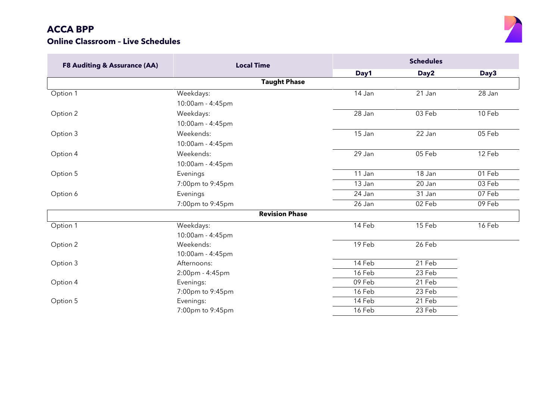

| <b>F8 Auditing &amp; Assurance (AA)</b> | <b>Local Time</b>     | <b>Schedules</b> |                  |        |  |
|-----------------------------------------|-----------------------|------------------|------------------|--------|--|
|                                         |                       | Day1             | Day <sub>2</sub> | Day3   |  |
|                                         | <b>Taught Phase</b>   |                  |                  |        |  |
| Option 1                                | Weekdays:             | 14 Jan           | 21 Jan           | 28 Jan |  |
|                                         | 10:00am - 4:45pm      |                  |                  |        |  |
| Option 2                                | Weekdays:             | 28 Jan           | 03 Feb           | 10 Feb |  |
|                                         | 10:00am - 4:45pm      |                  |                  |        |  |
| Option 3                                | Weekends:             | 15 Jan           | 22 Jan           | 05 Feb |  |
|                                         | 10:00am - 4:45pm      |                  |                  |        |  |
| Option 4                                | Weekends:             | 29 Jan           | 05 Feb           | 12 Feb |  |
|                                         | 10:00am - 4:45pm      |                  |                  |        |  |
| Option 5                                | Evenings              | 11 Jan           | 18 Jan           | 01 Feb |  |
|                                         | 7:00pm to 9:45pm      | 13 Jan           | 20 Jan           | 03 Feb |  |
| Option 6                                | Evenings              | 24 Jan           | 31 Jan           | 07 Feb |  |
|                                         | 7:00pm to 9:45pm      | 26 Jan           | 02 Feb           | 09 Feb |  |
|                                         | <b>Revision Phase</b> |                  |                  |        |  |
| Option 1                                | Weekdays:             | 14 Feb           | 15 Feb           | 16 Feb |  |
|                                         | 10:00am - 4:45pm      |                  |                  |        |  |
| Option 2                                | Weekends:             | 19 Feb           | 26 Feb           |        |  |
|                                         | 10:00am - 4:45pm      |                  |                  |        |  |
| Option 3                                | Afternoons:           | 14 Feb           | 21 Feb           |        |  |
|                                         | 2:00pm - 4:45pm       | 16 Feb           | 23 Feb           |        |  |
| Option 4                                | Evenings:             | 09 Feb           | 21 Feb           |        |  |
|                                         | 7:00pm to 9:45pm      | 16 Feb           | 23 Feb           |        |  |
| Option 5                                | Evenings:             | 14 Feb           | 21 Feb           |        |  |
|                                         | 7:00pm to 9:45pm      | 16 Feb           | 23 Feb           |        |  |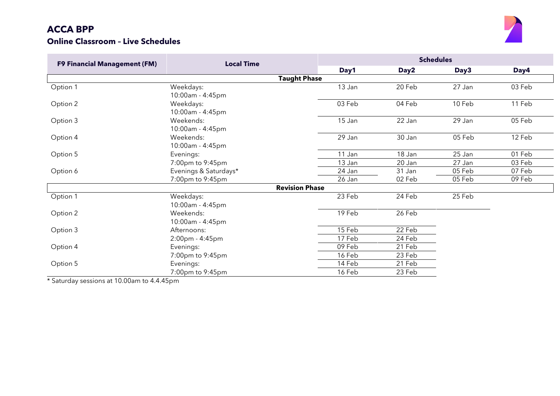### **Online Classroom – Live Schedules**



| <b>F9 Financial Management (FM)</b> | <b>Local Time</b>     |                       | <b>Schedules</b> |        |        |  |  |
|-------------------------------------|-----------------------|-----------------------|------------------|--------|--------|--|--|
|                                     |                       | Day1                  | Day <sub>2</sub> | Day3   | Day4   |  |  |
|                                     |                       | <b>Taught Phase</b>   |                  |        |        |  |  |
| Option 1                            | Weekdays:             | 13 Jan                | 20 Feb           | 27 Jan | 03 Feb |  |  |
|                                     | 10:00am - 4:45pm      |                       |                  |        |        |  |  |
| Option 2                            | Weekdays:             | 03 Feb                | 04 Feb           | 10 Feb | 11 Feb |  |  |
|                                     | 10:00am - 4:45pm      |                       |                  |        |        |  |  |
| Option 3                            | Weekends:             | 15 Jan                | 22 Jan           | 29 Jan | 05 Feb |  |  |
|                                     | 10:00am - 4:45pm      |                       |                  |        |        |  |  |
| Option 4                            | Weekends:             | 29 Jan                | 30 Jan           | 05 Feb | 12 Feb |  |  |
|                                     | 10:00am - 4:45pm      |                       |                  |        |        |  |  |
| Option 5                            | Evenings:             | 11 Jan                | 18 Jan           | 25 Jan | 01 Feb |  |  |
|                                     | 7:00pm to 9:45pm      | 13 Jan                | 20 Jan           | 27 Jan | 03 Feb |  |  |
| Option 6                            | Evenings & Saturdays* | 24 Jan                | 31 Jan           | 05 Feb | 07 Feb |  |  |
|                                     | 7:00pm to 9:45pm      | 26 Jan                | 02 Feb           | 05 Feb | 09 Feb |  |  |
|                                     |                       | <b>Revision Phase</b> |                  |        |        |  |  |
| Option 1                            | Weekdays:             | 23 Feb                | 24 Feb           | 25 Feb |        |  |  |
|                                     | 10:00am - 4:45pm      |                       |                  |        |        |  |  |
| Option 2                            | Weekends:             | 19 Feb                | 26 Feb           |        |        |  |  |
|                                     | 10:00am - 4:45pm      |                       |                  |        |        |  |  |
| Option 3                            | Afternoons:           | 15 Feb                | 22 Feb           |        |        |  |  |
|                                     | 2:00pm - 4:45pm       | 17 Feb                | 24 Feb           |        |        |  |  |
| Option 4                            | Evenings:             | 09 Feb                | 21 Feb           |        |        |  |  |
|                                     | 7:00pm to 9:45pm      | 16 Feb                | 23 Feb           |        |        |  |  |
| Option 5                            | Evenings:             | 14 Feb                | 21 Feb           |        |        |  |  |
|                                     | 7:00pm to 9:45pm      | 16 Feb                | 23 Feb           |        |        |  |  |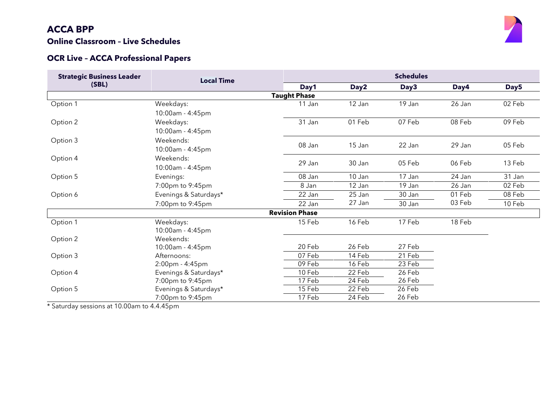#### **Online Classroom – Live Schedules**

#### **OCR Live – ACCA Professional Papers**

| <b>Strategic Business Leader</b> | <b>Local Time</b>     |                       | <b>Schedules</b> |        |        |                  |  |  |  |
|----------------------------------|-----------------------|-----------------------|------------------|--------|--------|------------------|--|--|--|
| (SBL)                            |                       | Day1                  | Day <sub>2</sub> | Day3   | Day4   | Day <sub>5</sub> |  |  |  |
|                                  |                       | <b>Taught Phase</b>   |                  |        |        |                  |  |  |  |
| Option 1                         | Weekdays:             | 11 Jan                | 12 Jan           | 19 Jan | 26 Jan | 02 Feb           |  |  |  |
|                                  | 10:00am - 4:45pm      |                       |                  |        |        |                  |  |  |  |
| Option 2                         | Weekdays:             | 31 Jan                | 01 Feb           | 07 Feb | 08 Feb | 09 Feb           |  |  |  |
|                                  | 10:00am - 4:45pm      |                       |                  |        |        |                  |  |  |  |
| Option 3                         | Weekends:             |                       |                  |        |        |                  |  |  |  |
|                                  | 10:00am - 4:45pm      | 08 Jan                | 15 Jan           | 22 Jan | 29 Jan | 05 Feb           |  |  |  |
| Option 4                         | Weekends:             |                       |                  |        |        |                  |  |  |  |
|                                  | 10:00am - 4:45pm      | 29 Jan                | 30 Jan           | 05 Feb | 06 Feb | 13 Feb           |  |  |  |
| Option 5                         | Evenings:             | 08 Jan                | 10 Jan           | 17 Jan | 24 Jan | 31 Jan           |  |  |  |
|                                  | 7:00pm to 9:45pm      | 8 Jan                 | 12 Jan           | 19 Jan | 26 Jan | 02 Feb           |  |  |  |
| Option 6                         | Evenings & Saturdays* | 22 Jan                | 25 Jan           | 30 Jan | 01 Feb | 08 Feb           |  |  |  |
|                                  | 7:00pm to 9:45pm      | 22 Jan                | 27 Jan           | 30 Jan | 03 Feb | 10 Feb           |  |  |  |
|                                  |                       | <b>Revision Phase</b> |                  |        |        |                  |  |  |  |
| Option 1                         | Weekdays:             | 15 Feb                | 16 Feb           | 17 Feb | 18 Feb |                  |  |  |  |
|                                  | 10:00am - 4:45pm      |                       |                  |        |        |                  |  |  |  |
| Option 2                         | Weekends:             |                       |                  |        |        |                  |  |  |  |
|                                  | 10:00am - 4:45pm      | 20 Feb                | 26 Feb           | 27 Feb |        |                  |  |  |  |
| Option 3                         | Afternoons:           | 07 Feb                | 14 Feb           | 21 Feb |        |                  |  |  |  |
|                                  | 2:00pm - 4:45pm       | 09 Feb                | 16 Feb           | 23 Feb |        |                  |  |  |  |
| Option 4                         | Evenings & Saturdays* | 10 Feb                | 22 Feb           | 26 Feb |        |                  |  |  |  |
|                                  | 7:00pm to 9:45pm      | 17 Feb                | 24 Feb           | 26 Feb |        |                  |  |  |  |
| Option 5                         | Evenings & Saturdays* | 15 Feb                | 22 Feb           | 26 Feb |        |                  |  |  |  |
|                                  | 7:00pm to 9:45pm      | 17 Feb                | 24 Feb           | 26 Feb |        |                  |  |  |  |

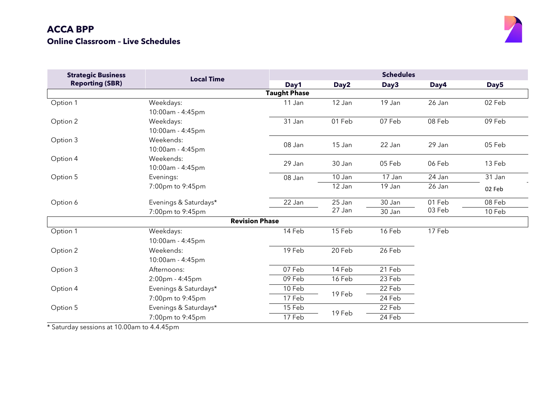

| <b>Strategic Business</b> | <b>Local Time</b>     |                     |                  |                     |        |                  |
|---------------------------|-----------------------|---------------------|------------------|---------------------|--------|------------------|
| <b>Reporting (SBR)</b>    |                       | Day1                | Day <sub>2</sub> | Day3                | Day4   | Day <sub>5</sub> |
|                           |                       | <b>Taught Phase</b> |                  |                     |        |                  |
| Option 1                  | Weekdays:             | 11 Jan              | 12 Jan           | $\overline{1}9$ Jan | 26 Jan | 02 Feb           |
|                           | 10:00am - 4:45pm      |                     |                  |                     |        |                  |
| Option 2                  | Weekdays:             | 31 Jan              | 01 Feb           | 07 Feb              | 08 Feb | 09 Feb           |
|                           | 10:00am - 4:45pm      |                     |                  |                     |        |                  |
| Option 3                  | Weekends:             | 08 Jan              | 15 Jan           | 22 Jan              | 29 Jan | 05 Feb           |
|                           | 10:00am - 4:45pm      |                     |                  |                     |        |                  |
| Option 4                  | Weekends:             | 29 Jan              | 30 Jan           | 05 Feb              | 06 Feb | 13 Feb           |
|                           | 10:00am - 4:45pm      |                     |                  |                     |        |                  |
| Option 5                  | Evenings:             | 08 Jan              | 10 Jan           | 17 Jan              | 24 Jan | 31 Jan           |
|                           | 7:00pm to 9:45pm      |                     | 12 Jan           | 19 Jan              | 26 Jan | 02 Feb           |
| Option 6                  | Evenings & Saturdays* | 22 Jan              | 25 Jan           | 30 Jan              | 01 Feb | 08 Feb           |
|                           | 7:00pm to 9:45pm      |                     | 27 Jan           | 30 Jan              | 03 Feb | 10 Feb           |
|                           | <b>Revision Phase</b> |                     |                  |                     |        |                  |
| Option 1                  | Weekdays:             | 14 Feb              | 15 Feb           | 16 Feb              | 17 Feb |                  |
|                           | 10:00am - 4:45pm      |                     |                  |                     |        |                  |
| Option 2                  | Weekends:             | 19 Feb              | 20 Feb           | 26 Feb              |        |                  |
|                           | 10:00am - 4:45pm      |                     |                  |                     |        |                  |
| Option 3                  | Afternoons:           | 07 Feb              | 14 Feb           | 21 Feb              |        |                  |
|                           | 2:00pm - 4:45pm       | 09 Feb              | 16 Feb           | 23 Feb              |        |                  |
| Option 4                  | Evenings & Saturdays* | 10 Feb              |                  | 22 Feb              |        |                  |
|                           | 7:00pm to 9:45pm      | 17 Feb              | 19 Feb           | 24 Feb              |        |                  |
| Option 5                  | Evenings & Saturdays* | 15 Feb              |                  | 22 Feb              |        |                  |
|                           | 7:00pm to 9:45pm      | 17 Feb              | 19 Feb           | 24 Feb              |        |                  |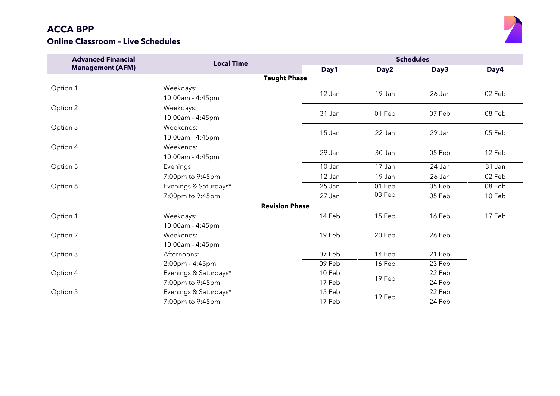

| <b>Advanced Financial</b> | <b>Local Time</b>     |        | <b>Schedules</b> |        |        |  |  |
|---------------------------|-----------------------|--------|------------------|--------|--------|--|--|
| <b>Management (AFM)</b>   |                       | Day1   | Day <sub>2</sub> | Day3   | Day4   |  |  |
|                           | <b>Taught Phase</b>   |        |                  |        |        |  |  |
| Option 1                  | Weekdays:             | 12 Jan | 19 Jan           | 26 Jan | 02 Feb |  |  |
|                           | 10:00am - 4:45pm      |        |                  |        |        |  |  |
| Option 2                  | Weekdays:             |        |                  |        |        |  |  |
|                           | 10:00am - 4:45pm      | 31 Jan | 01 Feb           | 07 Feb | 08 Feb |  |  |
| Option 3                  | Weekends:             |        |                  |        |        |  |  |
|                           | 10:00am - 4:45pm      | 15 Jan | 22 Jan           | 29 Jan | 05 Feb |  |  |
| Option 4                  | Weekends:             |        |                  |        |        |  |  |
|                           | 10:00am - 4:45pm      | 29 Jan | 30 Jan           | 05 Feb | 12 Feb |  |  |
| Option 5                  | Evenings:             | 10 Jan | 17 Jan           | 24 Jan | 31 Jan |  |  |
|                           | 7:00pm to 9:45pm      | 12 Jan | 19 Jan           | 26 Jan | 02 Feb |  |  |
| Option 6                  | Evenings & Saturdays* | 25 Jan | 01 Feb           | 05 Feb | 08 Feb |  |  |
|                           | 7:00pm to 9:45pm      | 27 Jan | 03 Feb           | 05 Feb | 10 Feb |  |  |
|                           | <b>Revision Phase</b> |        |                  |        |        |  |  |
| Option 1                  | Weekdays:             | 14 Feb | 15 Feb           | 16 Feb | 17 Feb |  |  |
|                           | 10:00am - 4:45pm      |        |                  |        |        |  |  |
| Option 2                  | Weekends:             | 19 Feb | 20 Feb           | 26 Feb |        |  |  |
|                           | 10:00am - 4:45pm      |        |                  |        |        |  |  |
| Option 3                  | Afternoons:           | 07 Feb | 14 Feb           | 21 Feb |        |  |  |
|                           | 2:00pm - 4:45pm       | 09 Feb | 16 Feb           | 23 Feb |        |  |  |
| Option 4                  | Evenings & Saturdays* | 10 Feb | 19 Feb           | 22 Feb |        |  |  |
|                           | 7:00pm to 9:45pm      | 17 Feb |                  | 24 Feb |        |  |  |
| Option 5                  | Evenings & Saturdays* | 15 Feb | 19 Feb           | 22 Feb |        |  |  |
|                           | 7:00pm to 9:45pm      | 17 Feb |                  | 24 Feb |        |  |  |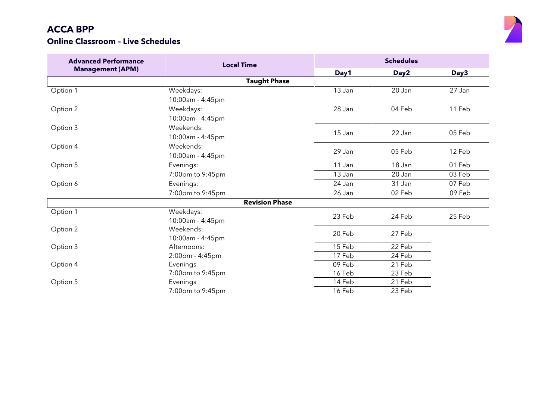

| <b>Advanced Performance</b> | <b>Local Time</b>     | <b>Schedules</b> |                  |        |  |
|-----------------------------|-----------------------|------------------|------------------|--------|--|
| <b>Management (APM)</b>     |                       | Day1             | Day <sub>2</sub> | Day3   |  |
|                             | <b>Taught Phase</b>   |                  |                  |        |  |
| Option 1                    | Weekdays:             | 13 Jan           | 20 Jan           | 27 Jan |  |
|                             | 10:00am - 4:45pm      |                  |                  |        |  |
| Option 2                    | Weekdays:             | 28 Jan           | 04 Feb           | 11 Feb |  |
|                             | 10:00am - 4:45pm      |                  |                  |        |  |
| Option 3                    | Weekends:             |                  |                  |        |  |
|                             | 10:00am - 4:45pm      | 15 Jan           | 22 Jan           | 05 Feb |  |
| Option 4                    | Weekends:             |                  |                  |        |  |
|                             | 10:00am - 4:45pm      | 29 Jan           | 05 Feb           | 12 Feb |  |
| Option 5                    | Evenings:             | 11 Jan           | 18 Jan           | 01 Feb |  |
|                             | 7:00pm to 9:45pm      | 13 Jan           | 20 Jan           | 03 Feb |  |
| Option 6                    | Evenings:             | 24 Jan           | 31 Jan           | 07 Feb |  |
|                             | 7:00pm to 9:45pm      | 26 Jan           | 02 Feb           | 09 Feb |  |
|                             | <b>Revision Phase</b> |                  |                  |        |  |
| Option 1                    | Weekdays:             | 23 Feb           | 24 Feb           | 25 Feb |  |
|                             | 10:00am - 4:45pm      |                  |                  |        |  |
| Option 2                    | Weekends:             | 20 Feb           | 27 Feb           |        |  |
|                             | 10:00am - 4:45pm      |                  |                  |        |  |
| Option 3                    | Afternoons:           | 15 Feb           | 22 Feb           |        |  |
|                             | 2:00pm - 4:45pm       | 17 Feb           | 24 Feb           |        |  |
| Option 4                    | Evenings              | 09 Feb           | 21 Feb           |        |  |
|                             | 7:00pm to 9:45pm      | 16 Feb           | 23 Feb           |        |  |
| Option 5                    | Evenings              | 14 Feb           | 21 Feb           |        |  |
|                             | 7:00pm to 9:45pm      | 16 Feb           | 23 Feb           |        |  |